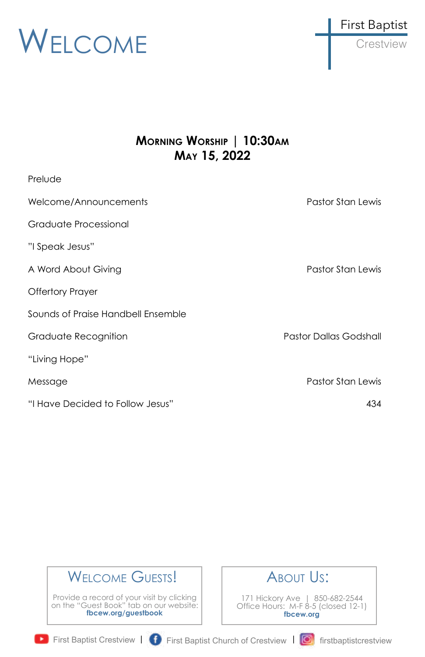

## **MORNING WORSHIP | 10:30AM MAY 15, 2022**

| Prelude                            |                               |
|------------------------------------|-------------------------------|
| Welcome/Announcements              | Pastor Stan Lewis             |
| Graduate Processional              |                               |
| "I Speak Jesus"                    |                               |
| A Word About Giving                | Pastor Stan Lewis             |
| <b>Offertory Prayer</b>            |                               |
| Sounds of Praise Handbell Ensemble |                               |
| Graduate Recognition               | <b>Pastor Dallas Godshall</b> |
| "Living Hope"                      |                               |
| Message                            | Pastor Stan Lewis             |
| "I Have Decided to Follow Jesus"   | 434                           |

## WELCOME GUESTS!

Provide a record of your visit by clicking on the "Guest Book" tab on our website: **fbcew.org/guestbook**



171 Hickory Ave | 850-682-2544 Office Hours: M-F 8-5 (closed 12-1) **fbcew.org**

First Baptist Crestview | **f** First Baptist Church of Crestview | **6** firstbaptistcrestview